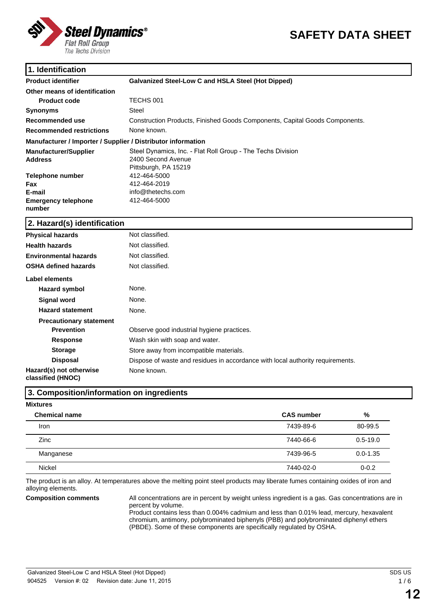

# **SAFETY DATA SHEET**

### **1. Identification**

| <b>Product identifier</b>                                    | <b>Galvanized Steel-Low C and HSLA Steel (Hot Dipped)</b>                   |
|--------------------------------------------------------------|-----------------------------------------------------------------------------|
| Other means of identification                                |                                                                             |
| <b>Product code</b>                                          | TECHS 001                                                                   |
| <b>Synonyms</b>                                              | Steel                                                                       |
| Recommended use                                              | Construction Products, Finished Goods Components, Capital Goods Components. |
| <b>Recommended restrictions</b>                              | None known.                                                                 |
| Manufacturer / Importer / Supplier / Distributor information |                                                                             |
| <b>Manufacturer/Supplier</b>                                 | Steel Dynamics, Inc. - Flat Roll Group - The Techs Division                 |
| <b>Address</b>                                               | 2400 Second Avenue                                                          |
|                                                              | Pittsburgh, PA 15219                                                        |
| <b>Telephone number</b>                                      | 412-464-5000                                                                |
| Fax                                                          | 412-464-2019                                                                |
| E-mail                                                       | info@thetechs.com                                                           |
| <b>Emergency telephone</b>                                   | 412-464-5000                                                                |
| number                                                       |                                                                             |

#### **2. Hazard(s) identification**

| <b>Physical hazards</b>                      | Not classified.                                                                |
|----------------------------------------------|--------------------------------------------------------------------------------|
| <b>Health hazards</b>                        | Not classified.                                                                |
| <b>Environmental hazards</b>                 | Not classified.                                                                |
| <b>OSHA defined hazards</b>                  | Not classified.                                                                |
| Label elements                               |                                                                                |
| Hazard symbol                                | None.                                                                          |
| Signal word                                  | None.                                                                          |
| <b>Hazard statement</b>                      | None.                                                                          |
| <b>Precautionary statement</b>               |                                                                                |
| <b>Prevention</b>                            | Observe good industrial hygiene practices.                                     |
| <b>Response</b>                              | Wash skin with soap and water.                                                 |
| <b>Storage</b>                               | Store away from incompatible materials.                                        |
| <b>Disposal</b>                              | Dispose of waste and residues in accordance with local authority requirements. |
| Hazard(s) not otherwise<br>classified (HNOC) | None known.                                                                    |

#### **3. Composition/information on ingredients**

#### **Mixtures**

| <b>Chemical name</b> | <b>CAS number</b> | %            |
|----------------------|-------------------|--------------|
| Iron                 | 7439-89-6         | 80-99.5      |
| Zinc                 | 7440-66-6         | $0.5 - 19.0$ |
| Manganese            | 7439-96-5         | $0.0 - 1.35$ |
| <b>Nickel</b>        | 7440-02-0         | $0 - 0.2$    |

The product is an alloy. At temperatures above the melting point steel products may liberate fumes containing oxides of iron and alloying elements.

**Composition comments** All concentrations are in percent by weight unless ingredient is a gas. Gas concentrations are in percent by volume.

Product contains less than 0.004% cadmium and less than 0.01% lead, mercury, hexavalent chromium, antimony, polybrominated biphenyls (PBB) and polybrominated diphenyl ethers (PBDE). Some of these components are specifically regulated by OSHA.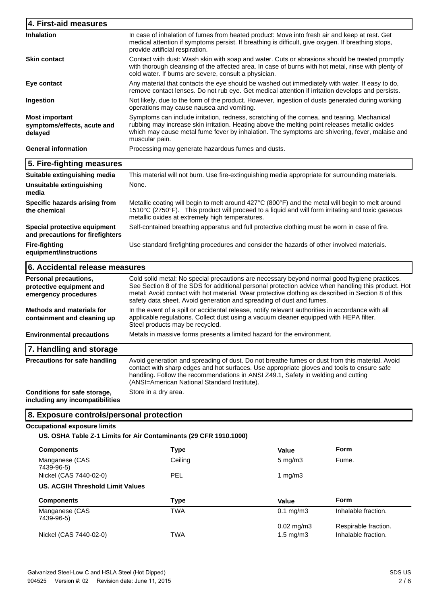| 4. First-aid measures                                                     |                                                                                                                                                                                                                                                                                                                                                                                  |
|---------------------------------------------------------------------------|----------------------------------------------------------------------------------------------------------------------------------------------------------------------------------------------------------------------------------------------------------------------------------------------------------------------------------------------------------------------------------|
| <b>Inhalation</b>                                                         | In case of inhalation of fumes from heated product: Move into fresh air and keep at rest. Get<br>medical attention if symptoms persist. If breathing is difficult, give oxygen. If breathing stops,<br>provide artificial respiration.                                                                                                                                           |
| <b>Skin contact</b>                                                       | Contact with dust: Wash skin with soap and water. Cuts or abrasions should be treated promptly<br>with thorough cleansing of the affected area. In case of burns with hot metal, rinse with plenty of<br>cold water. If burns are severe, consult a physician.                                                                                                                   |
| Eye contact                                                               | Any material that contacts the eye should be washed out immediately with water. If easy to do,<br>remove contact lenses. Do not rub eye. Get medical attention if irritation develops and persists.                                                                                                                                                                              |
| Ingestion                                                                 | Not likely, due to the form of the product. However, ingestion of dusts generated during working<br>operations may cause nausea and vomiting.                                                                                                                                                                                                                                    |
| <b>Most important</b><br>symptoms/effects, acute and<br>delayed           | Symptoms can include irritation, redness, scratching of the cornea, and tearing. Mechanical<br>rubbing may increase skin irritation. Heating above the melting point releases metallic oxides<br>which may cause metal fume fever by inhalation. The symptoms are shivering, fever, malaise and<br>muscular pain.                                                                |
| <b>General information</b>                                                | Processing may generate hazardous fumes and dusts.                                                                                                                                                                                                                                                                                                                               |
| 5. Fire-fighting measures                                                 |                                                                                                                                                                                                                                                                                                                                                                                  |
| Suitable extinguishing media                                              | This material will not burn. Use fire-extinguishing media appropriate for surrounding materials.                                                                                                                                                                                                                                                                                 |
| <b>Unsuitable extinguishing</b><br>media                                  | None.                                                                                                                                                                                                                                                                                                                                                                            |
| Specific hazards arising from<br>the chemical                             | Metallic coating will begin to melt around 427°C (800°F) and the metal will begin to melt around<br>1510°C (2750°F). This product will proceed to a liquid and will form irritating and toxic gaseous<br>metallic oxides at extremely high temperatures.                                                                                                                         |
| Special protective equipment<br>and precautions for firefighters          | Self-contained breathing apparatus and full protective clothing must be worn in case of fire.                                                                                                                                                                                                                                                                                    |
| <b>Fire-fighting</b><br>equipment/instructions                            | Use standard firefighting procedures and consider the hazards of other involved materials.                                                                                                                                                                                                                                                                                       |
| 6. Accidental release measures                                            |                                                                                                                                                                                                                                                                                                                                                                                  |
| Personal precautions,<br>protective equipment and<br>emergency procedures | Cold solid metal: No special precautions are necessary beyond normal good hygiene practices.<br>See Section 8 of the SDS for additional personal protection advice when handling this product. Hot<br>metal: Avoid contact with hot material. Wear protective clothing as described in Section 8 of this<br>safety data sheet. Avoid generation and spreading of dust and fumes. |
| <b>Methods and materials for</b><br>containment and cleaning up           | In the event of a spill or accidental release, notify relevant authorities in accordance with all<br>applicable regulations. Collect dust using a vacuum cleaner equipped with HEPA filter.<br>Steel products may be recycled.                                                                                                                                                   |
| <b>Environmental precautions</b>                                          | Metals in massive forms presents a limited hazard for the environment.                                                                                                                                                                                                                                                                                                           |
| 7. Handling and storage                                                   |                                                                                                                                                                                                                                                                                                                                                                                  |
| <b>Precautions for safe handling</b>                                      | Avoid generation and spreading of dust. Do not breathe fumes or dust from this material. Avoid<br>contact with sharp edges and hot surfaces. Use appropriate gloves and tools to ensure safe<br>handling. Follow the recommendations in ANSI Z49.1, Safety in welding and cutting<br>(ANSI=American National Standard Institute).                                                |
| Conditions for safe storage,<br>including any incompatibilities           | Store in a dry area.                                                                                                                                                                                                                                                                                                                                                             |
| 8. Exposure controls/personal protection                                  |                                                                                                                                                                                                                                                                                                                                                                                  |

### **Occupational exposure limits**

## **US. OSHA Table Z-1 Limits for Air Contaminants (29 CFR 1910.1000)**

| <b>Components</b>                | <b>Type</b> | Value                     | <b>Form</b>          |
|----------------------------------|-------------|---------------------------|----------------------|
| Manganese (CAS<br>7439-96-5)     | Ceiling     | $5 \text{ mg/m}$<br>Fume. |                      |
| Nickel (CAS 7440-02-0)           | <b>PEL</b>  | 1 $mq/m3$                 |                      |
| US. ACGIH Threshold Limit Values |             |                           |                      |
| <b>Components</b>                | Type        | Value                     | <b>Form</b>          |
|                                  |             |                           |                      |
| Manganese (CAS<br>7439-96-5)     | <b>TWA</b>  | $0.1 \text{ mg/m}$ 3      | Inhalable fraction.  |
|                                  |             | $0.02 \text{ mg/m}$ 3     | Respirable fraction. |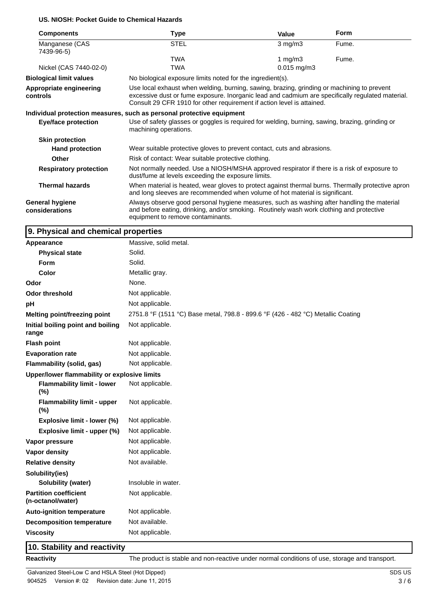#### **US. NIOSH: Pocket Guide to Chemical Hazards**

| <b>Components</b>                        | Type                                                                                                                                                                                                                                                                     | Value                                                      | <b>Form</b> |  |  |  |  |
|------------------------------------------|--------------------------------------------------------------------------------------------------------------------------------------------------------------------------------------------------------------------------------------------------------------------------|------------------------------------------------------------|-------------|--|--|--|--|
| Manganese (CAS<br>7439-96-5)             | <b>STEL</b>                                                                                                                                                                                                                                                              | $3 \text{ mg/m}$                                           | Fume.       |  |  |  |  |
|                                          | TWA                                                                                                                                                                                                                                                                      | 1 $mg/m3$                                                  | Fume.       |  |  |  |  |
| Nickel (CAS 7440-02-0)                   | TWA                                                                                                                                                                                                                                                                      |                                                            |             |  |  |  |  |
| <b>Biological limit values</b>           |                                                                                                                                                                                                                                                                          | No biological exposure limits noted for the ingredient(s). |             |  |  |  |  |
| Appropriate engineering<br>controls      | Use local exhaust when welding, burning, sawing, brazing, grinding or machining to prevent<br>excessive dust or fume exposure. Inorganic lead and cadmium are specifically regulated material.<br>Consult 29 CFR 1910 for other requirement if action level is attained. |                                                            |             |  |  |  |  |
|                                          | Individual protection measures, such as personal protective equipment                                                                                                                                                                                                    |                                                            |             |  |  |  |  |
| <b>Eye/face protection</b>               | Use of safety glasses or goggles is required for welding, burning, sawing, brazing, grinding or<br>machining operations.                                                                                                                                                 |                                                            |             |  |  |  |  |
| <b>Skin protection</b>                   |                                                                                                                                                                                                                                                                          |                                                            |             |  |  |  |  |
| <b>Hand protection</b>                   | Wear suitable protective gloves to prevent contact, cuts and abrasions.                                                                                                                                                                                                  |                                                            |             |  |  |  |  |
| Other                                    | Risk of contact: Wear suitable protective clothing.                                                                                                                                                                                                                      |                                                            |             |  |  |  |  |
| <b>Respiratory protection</b>            | Not normally needed. Use a NIOSH/MSHA approved respirator if there is a risk of exposure to<br>dust/fume at levels exceeding the exposure limits.                                                                                                                        |                                                            |             |  |  |  |  |
| <b>Thermal hazards</b>                   | When material is heated, wear gloves to protect against thermal burns. Thermally protective apron<br>and long sleeves are recommended when volume of hot material is significant.                                                                                        |                                                            |             |  |  |  |  |
| <b>General hygiene</b><br>considerations | Always observe good personal hygiene measures, such as washing after handling the material<br>and before eating, drinking, and/or smoking. Routinely wash work clothing and protective<br>equipment to remove contaminants.                                              |                                                            |             |  |  |  |  |

## **9. Physical and chemical properties**

| Appearance                                        | Massive, solid metal.                                                            |
|---------------------------------------------------|----------------------------------------------------------------------------------|
| <b>Physical state</b>                             | Solid.                                                                           |
| Form                                              | Solid.                                                                           |
| Color                                             | Metallic gray.                                                                   |
| Odor                                              | None.                                                                            |
| <b>Odor threshold</b>                             | Not applicable.                                                                  |
| pH                                                | Not applicable.                                                                  |
| <b>Melting point/freezing point</b>               | 2751.8 °F (1511 °C) Base metal, 798.8 - 899.6 °F (426 - 482 °C) Metallic Coating |
| Initial boiling point and boiling<br>range        | Not applicable.                                                                  |
| <b>Flash point</b>                                | Not applicable.                                                                  |
| <b>Evaporation rate</b>                           | Not applicable.                                                                  |
| Flammability (solid, gas)                         | Not applicable.                                                                  |
| Upper/lower flammability or explosive limits      |                                                                                  |
| <b>Flammability limit - lower</b><br>(%)          | Not applicable.                                                                  |
| <b>Flammability limit - upper</b><br>(%)          | Not applicable.                                                                  |
| Explosive limit - lower (%)                       | Not applicable.                                                                  |
| Explosive limit - upper (%)                       | Not applicable.                                                                  |
| Vapor pressure                                    | Not applicable.                                                                  |
| Vapor density                                     | Not applicable.                                                                  |
| <b>Relative density</b>                           | Not available.                                                                   |
| Solubility(ies)                                   |                                                                                  |
| Solubility (water)                                | Insoluble in water.                                                              |
| <b>Partition coefficient</b><br>(n-octanol/water) | Not applicable.                                                                  |
| <b>Auto-ignition temperature</b>                  | Not applicable.                                                                  |
| <b>Decomposition temperature</b>                  | Not available.                                                                   |
| <b>Viscosity</b>                                  | Not applicable.                                                                  |
|                                                   |                                                                                  |

# **10. Stability and reactivity**

**Reactivity** The product is stable and non-reactive under normal conditions of use, storage and transport.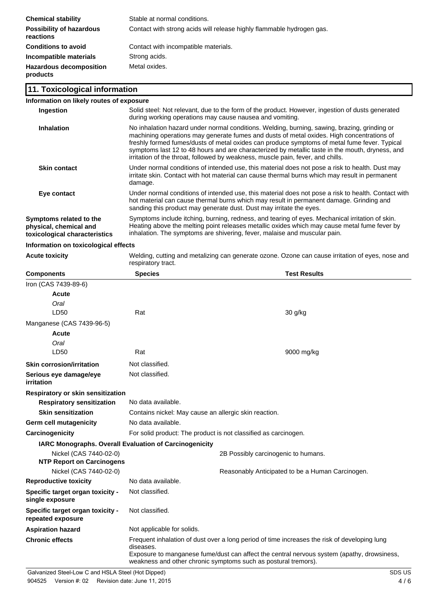| <b>Chemical stability</b>                    | Stable at normal conditions.                                          |
|----------------------------------------------|-----------------------------------------------------------------------|
| <b>Possibility of hazardous</b><br>reactions | Contact with strong acids will release highly flammable hydrogen gas. |
| <b>Conditions to avoid</b>                   | Contact with incompatible materials.                                  |
| Incompatible materials                       | Strong acids.                                                         |
| <b>Hazardous decomposition</b><br>products   | Metal oxides.                                                         |

#### **11. Toxicological information**

| Information on likely routes of exposure                                           |                                                                                                                                                                                                                                                                                                                                                                                                                                                                                 |
|------------------------------------------------------------------------------------|---------------------------------------------------------------------------------------------------------------------------------------------------------------------------------------------------------------------------------------------------------------------------------------------------------------------------------------------------------------------------------------------------------------------------------------------------------------------------------|
| <b>Ingestion</b>                                                                   | Solid steel: Not relevant, due to the form of the product. However, ingestion of dusts generated<br>during working operations may cause nausea and vomiting.                                                                                                                                                                                                                                                                                                                    |
| <b>Inhalation</b>                                                                  | No inhalation hazard under normal conditions. Welding, burning, sawing, brazing, grinding or<br>machining operations may generate fumes and dusts of metal oxides. High concentrations of<br>freshly formed fumes/dusts of metal oxides can produce symptoms of metal fume fever. Typical<br>symptoms last 12 to 48 hours and are characterized by metallic taste in the mouth, dryness, and<br>irritation of the throat, followed by weakness, muscle pain, fever, and chills. |
| <b>Skin contact</b>                                                                | Under normal conditions of intended use, this material does not pose a risk to health. Dust may<br>irritate skin. Contact with hot material can cause thermal burns which may result in permanent<br>damage.                                                                                                                                                                                                                                                                    |
| Eye contact                                                                        | Under normal conditions of intended use, this material does not pose a risk to health. Contact with<br>hot material can cause thermal burns which may result in permanent damage. Grinding and<br>sanding this product may generate dust. Dust may irritate the eyes.                                                                                                                                                                                                           |
| Symptoms related to the<br>physical, chemical and<br>toxicological characteristics | Symptoms include itching, burning, redness, and tearing of eyes. Mechanical irritation of skin.<br>Heating above the melting point releases metallic oxides which may cause metal fume fever by<br>inhalation. The symptoms are shivering, fever, malaise and muscular pain.                                                                                                                                                                                                    |
|                                                                                    |                                                                                                                                                                                                                                                                                                                                                                                                                                                                                 |

#### **Information on toxicological effects**

**Acute toxicity** Welding, cutting and metalizing can generate ozone. Ozone can cause irritation of eyes, nose and respiratory tract.

| <b>Components</b>                                             | <b>Species</b>                                                  | <b>Test Results</b>                                                                                                                                                                                                                                          |  |
|---------------------------------------------------------------|-----------------------------------------------------------------|--------------------------------------------------------------------------------------------------------------------------------------------------------------------------------------------------------------------------------------------------------------|--|
| Iron (CAS 7439-89-6)                                          |                                                                 |                                                                                                                                                                                                                                                              |  |
| Acute                                                         |                                                                 |                                                                                                                                                                                                                                                              |  |
| Oral                                                          |                                                                 |                                                                                                                                                                                                                                                              |  |
| LD50                                                          | Rat                                                             | 30 g/kg                                                                                                                                                                                                                                                      |  |
| Manganese (CAS 7439-96-5)                                     |                                                                 |                                                                                                                                                                                                                                                              |  |
| Acute                                                         |                                                                 |                                                                                                                                                                                                                                                              |  |
| Oral                                                          |                                                                 |                                                                                                                                                                                                                                                              |  |
| LD50                                                          | Rat                                                             | 9000 mg/kg                                                                                                                                                                                                                                                   |  |
| <b>Skin corrosion/irritation</b>                              | Not classified.                                                 |                                                                                                                                                                                                                                                              |  |
| Serious eye damage/eye<br><i>irritation</i>                   | Not classified.                                                 |                                                                                                                                                                                                                                                              |  |
| Respiratory or skin sensitization                             |                                                                 |                                                                                                                                                                                                                                                              |  |
| <b>Respiratory sensitization</b>                              | No data available.                                              |                                                                                                                                                                                                                                                              |  |
| <b>Skin sensitization</b>                                     | Contains nickel: May cause an allergic skin reaction.           |                                                                                                                                                                                                                                                              |  |
| <b>Germ cell mutagenicity</b>                                 | No data available.                                              |                                                                                                                                                                                                                                                              |  |
| Carcinogenicity                                               | For solid product: The product is not classified as carcinogen. |                                                                                                                                                                                                                                                              |  |
| <b>IARC Monographs. Overall Evaluation of Carcinogenicity</b> |                                                                 |                                                                                                                                                                                                                                                              |  |
| Nickel (CAS 7440-02-0)<br><b>NTP Report on Carcinogens</b>    |                                                                 | 2B Possibly carcinogenic to humans.                                                                                                                                                                                                                          |  |
| Nickel (CAS 7440-02-0)                                        |                                                                 | Reasonably Anticipated to be a Human Carcinogen.                                                                                                                                                                                                             |  |
| <b>Reproductive toxicity</b>                                  | No data available.                                              |                                                                                                                                                                                                                                                              |  |
| Specific target organ toxicity -<br>single exposure           | Not classified.                                                 |                                                                                                                                                                                                                                                              |  |
| Specific target organ toxicity -<br>repeated exposure         | Not classified.                                                 |                                                                                                                                                                                                                                                              |  |
| <b>Aspiration hazard</b>                                      | Not applicable for solids.                                      |                                                                                                                                                                                                                                                              |  |
| <b>Chronic effects</b>                                        | diseases.                                                       | Frequent inhalation of dust over a long period of time increases the risk of developing lung<br>Exposure to manganese fume/dust can affect the central nervous system (apathy, drowsiness,<br>weakness and other chronic symptoms such as postural tremors). |  |
| Galvanized Steel-Low C and HSLA Steel (Hot Dipped)            |                                                                 | <b>SDS US</b>                                                                                                                                                                                                                                                |  |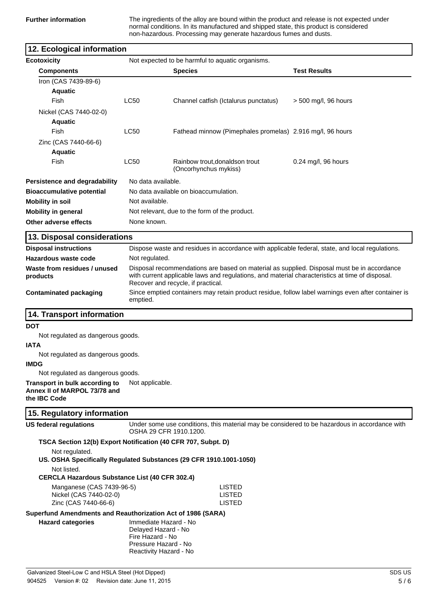**Further information** The ingredients of the alloy are bound within the product and release is not expected under normal conditions. In its manufactured and shipped state, this product is considered non-hazardous. Processing may generate hazardous fumes and dusts.

| 12. Ecological information                                                                                                                            |                                                                                                                                                                                                                                     |                                                           |  |                                                                                                 |
|-------------------------------------------------------------------------------------------------------------------------------------------------------|-------------------------------------------------------------------------------------------------------------------------------------------------------------------------------------------------------------------------------------|-----------------------------------------------------------|--|-------------------------------------------------------------------------------------------------|
| <b>Ecotoxicity</b>                                                                                                                                    |                                                                                                                                                                                                                                     | Not expected to be harmful to aquatic organisms.          |  |                                                                                                 |
| <b>Components</b>                                                                                                                                     |                                                                                                                                                                                                                                     | <b>Species</b>                                            |  | <b>Test Results</b>                                                                             |
| Iron (CAS 7439-89-6)                                                                                                                                  |                                                                                                                                                                                                                                     |                                                           |  |                                                                                                 |
| <b>Aquatic</b>                                                                                                                                        |                                                                                                                                                                                                                                     |                                                           |  |                                                                                                 |
| Fish                                                                                                                                                  | <b>LC50</b>                                                                                                                                                                                                                         | Channel catfish (Ictalurus punctatus)                     |  | $>$ 500 mg/l, 96 hours                                                                          |
| Nickel (CAS 7440-02-0)                                                                                                                                |                                                                                                                                                                                                                                     |                                                           |  |                                                                                                 |
| <b>Aquatic</b>                                                                                                                                        |                                                                                                                                                                                                                                     |                                                           |  |                                                                                                 |
| Fish                                                                                                                                                  | <b>LC50</b>                                                                                                                                                                                                                         | Fathead minnow (Pimephales promelas) 2.916 mg/l, 96 hours |  |                                                                                                 |
| Zinc (CAS 7440-66-6)                                                                                                                                  |                                                                                                                                                                                                                                     |                                                           |  |                                                                                                 |
| <b>Aquatic</b>                                                                                                                                        |                                                                                                                                                                                                                                     |                                                           |  |                                                                                                 |
| Fish                                                                                                                                                  | <b>LC50</b>                                                                                                                                                                                                                         | Rainbow trout, donaldson trout<br>(Oncorhynchus mykiss)   |  | 0.24 mg/l, 96 hours                                                                             |
| Persistence and degradability                                                                                                                         | No data available.                                                                                                                                                                                                                  |                                                           |  |                                                                                                 |
| <b>Bioaccumulative potential</b>                                                                                                                      |                                                                                                                                                                                                                                     | No data available on bioaccumulation.                     |  |                                                                                                 |
| <b>Mobility in soil</b>                                                                                                                               | Not available.                                                                                                                                                                                                                      |                                                           |  |                                                                                                 |
| <b>Mobility in general</b>                                                                                                                            |                                                                                                                                                                                                                                     | Not relevant, due to the form of the product.             |  |                                                                                                 |
| Other adverse effects                                                                                                                                 | None known.                                                                                                                                                                                                                         |                                                           |  |                                                                                                 |
|                                                                                                                                                       |                                                                                                                                                                                                                                     |                                                           |  |                                                                                                 |
| 13. Disposal considerations                                                                                                                           |                                                                                                                                                                                                                                     |                                                           |  |                                                                                                 |
| <b>Disposal instructions</b>                                                                                                                          |                                                                                                                                                                                                                                     |                                                           |  | Dispose waste and residues in accordance with applicable federal, state, and local regulations. |
| Hazardous waste code                                                                                                                                  | Not regulated.                                                                                                                                                                                                                      |                                                           |  |                                                                                                 |
| Waste from residues / unused<br>products                                                                                                              | Disposal recommendations are based on material as supplied. Disposal must be in accordance<br>with current applicable laws and regulations, and material characteristics at time of disposal.<br>Recover and recycle, if practical. |                                                           |  |                                                                                                 |
| <b>Contaminated packaging</b>                                                                                                                         | Since emptied containers may retain product residue, follow label warnings even after container is<br>emptied.                                                                                                                      |                                                           |  |                                                                                                 |
| 14. Transport information                                                                                                                             |                                                                                                                                                                                                                                     |                                                           |  |                                                                                                 |
| <b>DOT</b>                                                                                                                                            |                                                                                                                                                                                                                                     |                                                           |  |                                                                                                 |
| Not regulated as dangerous goods.                                                                                                                     |                                                                                                                                                                                                                                     |                                                           |  |                                                                                                 |
| <b>IATA</b>                                                                                                                                           |                                                                                                                                                                                                                                     |                                                           |  |                                                                                                 |
| Not regulated as dangerous goods.                                                                                                                     |                                                                                                                                                                                                                                     |                                                           |  |                                                                                                 |
| <b>IMDG</b>                                                                                                                                           |                                                                                                                                                                                                                                     |                                                           |  |                                                                                                 |
| Not regulated as dangerous goods.                                                                                                                     |                                                                                                                                                                                                                                     |                                                           |  |                                                                                                 |
| Transport in bulk according to<br>Annex II of MARPOL 73/78 and<br>the IBC Code                                                                        | Not applicable.                                                                                                                                                                                                                     |                                                           |  |                                                                                                 |
| 15. Regulatory information                                                                                                                            |                                                                                                                                                                                                                                     |                                                           |  |                                                                                                 |
| <b>US federal regulations</b>                                                                                                                         | OSHA 29 CFR 1910.1200.                                                                                                                                                                                                              |                                                           |  | Under some use conditions, this material may be considered to be hazardous in accordance with   |
| TSCA Section 12(b) Export Notification (40 CFR 707, Subpt. D)<br>Not regulated.<br>US. OSHA Specifically Regulated Substances (29 CFR 1910.1001-1050) |                                                                                                                                                                                                                                     |                                                           |  |                                                                                                 |
| Not listed.<br><b>CERCLA Hazardous Substance List (40 CFR 302.4)</b>                                                                                  |                                                                                                                                                                                                                                     |                                                           |  |                                                                                                 |
| Manganese (CAS 7439-96-5)                                                                                                                             |                                                                                                                                                                                                                                     | <b>LISTED</b>                                             |  |                                                                                                 |
| Nickel (CAS 7440-02-0)<br>Zinc (CAS 7440-66-6)                                                                                                        |                                                                                                                                                                                                                                     | <b>LISTED</b><br><b>LISTED</b>                            |  |                                                                                                 |
| Superfund Amendments and Reauthorization Act of 1986 (SARA)                                                                                           |                                                                                                                                                                                                                                     |                                                           |  |                                                                                                 |
| <b>Hazard categories</b>                                                                                                                              | Immediate Hazard - No<br>Delayed Hazard - No<br>Fire Hazard - No<br>Pressure Hazard - No<br>Reactivity Hazard - No                                                                                                                  |                                                           |  |                                                                                                 |